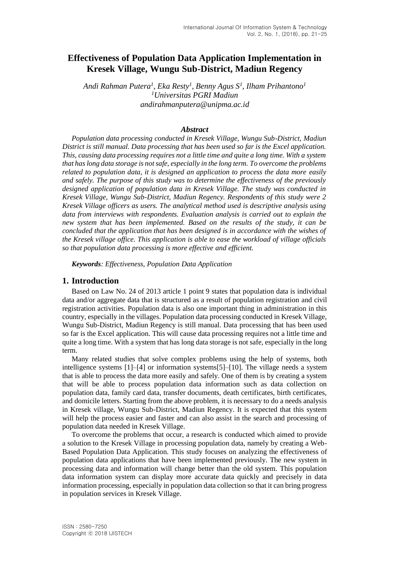# **Effectiveness of Population Data Application Implementation in Kresek Village, Wungu Sub-District, Madiun Regency**

*Andi Rahman Putera<sup>1</sup> , Eka Resty<sup>1</sup> , Benny Agus S<sup>1</sup> , Ilham Prihantono<sup>1</sup> <sup>1</sup>Universitas PGRI Madiun andirahmanputera@unipma.ac.id*

#### *Abstract*

*Population data processing conducted in Kresek Village, Wungu Sub-District, Madiun District is still manual. Data processing that has been used so far is the Excel application. This, causing data processing requires not a little time and quite a long time. With a system that has long data storage is not safe, especially in the long term. To overcome the problems related to population data, it is designed an application to process the data more easily and safely. The purpose of this study was to determine the effectiveness of the previously designed application of population data in Kresek Village. The study was conducted in Kresek Village, Wungu Sub-District, Madiun Regency. Respondents of this study were 2 Kresek Village officers as users. The analytical method used is descriptive analysis using data from interviews with respondents. Evaluation analysis is carried out to explain the new system that has been implemented. Based on the results of the study, it can be concluded that the application that has been designed is in accordance with the wishes of the Kresek village office. This application is able to ease the workload of village officials so that population data processing is more effective and efficient.*

*Keywords: Effectiveness, Population Data Application*

### **1. Introduction**

Based on Law No. 24 of 2013 article 1 point 9 states that population data is individual data and/or aggregate data that is structured as a result of population registration and civil registration activities. Population data is also one important thing in administration in this country, especially in the villages. Population data processing conducted in Kresek Village, Wungu Sub-District, Madiun Regency is still manual. Data processing that has been used so far is the Excel application. This will cause data processing requires not a little time and quite a long time. With a system that has long data storage is not safe, especially in the long term.

Many related studies that solve complex problems using the help of systems, both intelligence systems [1]–[4] or information systems[5]–[10]. The village needs a system that is able to process the data more easily and safely. One of them is by creating a system that will be able to process population data information such as data collection on population data, family card data, transfer documents, death certificates, birth certificates, and domicile letters. Starting from the above problem, it is necessary to do a needs analysis in Kresek village, Wungu Sub-District, Madiun Regency. It is expected that this system will help the process easier and faster and can also assist in the search and processing of population data needed in Kresek Village.

To overcome the problems that occur, a research is conducted which aimed to provide a solution to the Kresek Village in processing population data, namely by creating a Web-Based Population Data Application. This study focuses on analyzing the effectiveness of population data applications that have been implemented previously. The new system in processing data and information will change better than the old system. This population data information system can display more accurate data quickly and precisely in data information processing, especially in population data collection so that it can bring progress in population services in Kresek Village.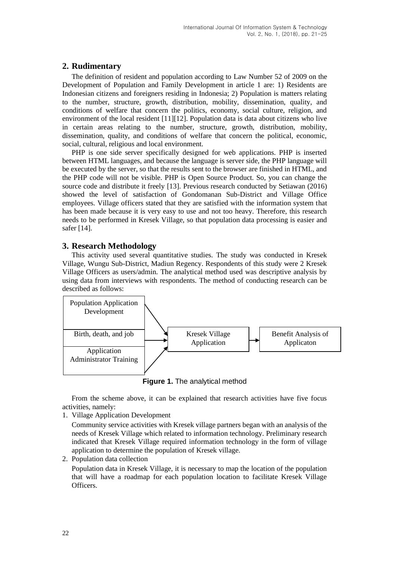## **2. Rudimentary**

The definition of resident and population according to Law Number 52 of 2009 on the Development of Population and Family Development in article 1 are: 1) Residents are Indonesian citizens and foreigners residing in Indonesia; 2) Population is matters relating to the number, structure, growth, distribution, mobility, dissemination, quality, and conditions of welfare that concern the politics, economy, social culture, religion, and environment of the local resident [11][12]. Population data is data about citizens who live in certain areas relating to the number, structure, growth, distribution, mobility, dissemination, quality, and conditions of welfare that concern the political, economic, social, cultural, religious and local environment.

PHP is one side server specifically designed for web applications. PHP is inserted between HTML languages, and because the language is server side, the PHP language will be executed by the server, so that the results sent to the browser are finished in HTML, and the PHP code will not be visible. PHP is Open Source Product. So, you can change the source code and distribute it freely [13]. Previous research conducted by Setiawan (2016) showed the level of satisfaction of Gondomanan Sub-District and Village Office employees. Village officers stated that they are satisfied with the information system that has been made because it is very easy to use and not too heavy. Therefore, this research needs to be performed in Kresek Village, so that population data processing is easier and safer [14].

## **3. Research Methodology**

This activity used several quantitative studies. The study was conducted in Kresek Village, Wungu Sub-District, Madiun Regency. Respondents of this study were 2 Kresek Village Officers as users/admin. The analytical method used was descriptive analysis by using data from interviews with respondents. The method of conducting research can be described as follows:



**Figure 1.** The analytical method

From the scheme above, it can be explained that research activities have five focus activities, namely:

1. Village Application Development

Community service activities with Kresek village partners began with an analysis of the needs of Kresek Village which related to information technology. Preliminary research indicated that Kresek Village required information technology in the form of village application to determine the population of Kresek village.

2. Population data collection

Population data in Kresek Village, it is necessary to map the location of the population that will have a roadmap for each population location to facilitate Kresek Village Officers.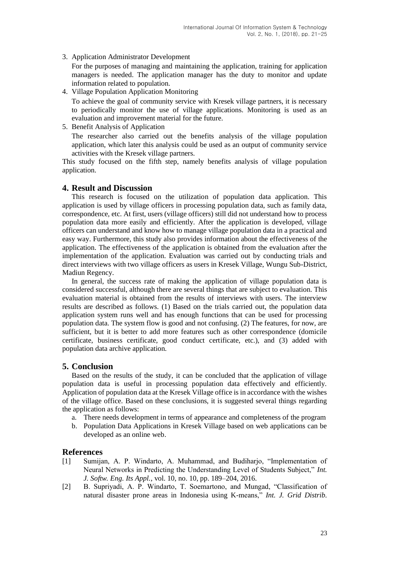3. Application Administrator Development

For the purposes of managing and maintaining the application, training for application managers is needed. The application manager has the duty to monitor and update information related to population.

4. Village Population Application Monitoring

To achieve the goal of community service with Kresek village partners, it is necessary to periodically monitor the use of village applications. Monitoring is used as an evaluation and improvement material for the future.

5. Benefit Analysis of Application

The researcher also carried out the benefits analysis of the village population application, which later this analysis could be used as an output of community service activities with the Kresek village partners.

This study focused on the fifth step, namely benefits analysis of village population application.

### **4. Result and Discussion**

This research is focused on the utilization of population data application. This application is used by village officers in processing population data, such as family data, correspondence, etc. At first, users (village officers) still did not understand how to process population data more easily and efficiently. After the application is developed, village officers can understand and know how to manage village population data in a practical and easy way. Furthermore, this study also provides information about the effectiveness of the application. The effectiveness of the application is obtained from the evaluation after the implementation of the application. Evaluation was carried out by conducting trials and direct interviews with two village officers as users in Kresek Village, Wungu Sub-District, Madiun Regency.

In general, the success rate of making the application of village population data is considered successful, although there are several things that are subject to evaluation. This evaluation material is obtained from the results of interviews with users. The interview results are described as follows. (1) Based on the trials carried out, the population data application system runs well and has enough functions that can be used for processing population data. The system flow is good and not confusing. (2) The features, for now, are sufficient, but it is better to add more features such as other correspondence (domicile certificate, business certificate, good conduct certificate, etc.), and (3) added with population data archive application.

### **5. Conclusion**

Based on the results of the study, it can be concluded that the application of village population data is useful in processing population data effectively and efficiently. Application of population data at the Kresek Village office is in accordance with the wishes of the village office. Based on these conclusions, it is suggested several things regarding the application as follows:

- a. There needs development in terms of appearance and completeness of the program
- b. Population Data Applications in Kresek Village based on web applications can be developed as an online web.

### **References**

- [1] Sumijan, A. P. Windarto, A. Muhammad, and Budiharjo, "Implementation of Neural Networks in Predicting the Understanding Level of Students Subject," *Int. J. Softw. Eng. Its Appl.*, vol. 10, no. 10, pp. 189–204, 2016.
- [2] B. Supriyadi, A. P. Windarto, T. Soemartono, and Mungad, "Classification of natural disaster prone areas in Indonesia using K-means," *Int. J. Grid Distrib.*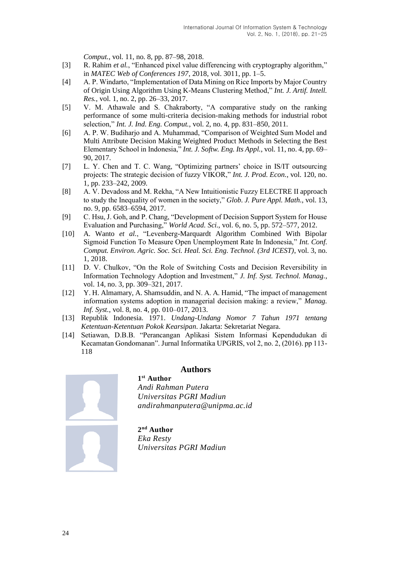*Comput.*, vol. 11, no. 8, pp. 87–98, 2018.

- [3] R. Rahim *et al.*, "Enhanced pixel value differencing with cryptography algorithm," in *MATEC Web of Conferences 197*, 2018, vol. 3011, pp. 1–5.
- [4] A. P. Windarto, "Implementation of Data Mining on Rice Imports by Major Country of Origin Using Algorithm Using K-Means Clustering Method," *Int. J. Artif. Intell. Res.*, vol. 1, no. 2, pp. 26–33, 2017.
- [5] V. M. Athawale and S. Chakraborty, "A comparative study on the ranking performance of some multi-criteria decision-making methods for industrial robot selection," *Int. J. Ind. Eng. Comput.*, vol. 2, no. 4, pp. 831–850, 2011.
- [6] A. P. W. Budiharjo and A. Muhammad, "Comparison of Weighted Sum Model and Multi Attribute Decision Making Weighted Product Methods in Selecting the Best Elementary School in Indonesia," *Int. J. Softw. Eng. Its Appl.*, vol. 11, no. 4, pp. 69– 90, 2017.
- [7] L. Y. Chen and T. C. Wang, "Optimizing partners' choice in IS/IT outsourcing projects: The strategic decision of fuzzy VIKOR," *Int. J. Prod. Econ.*, vol. 120, no. 1, pp. 233–242, 2009.
- [8] A. V. Devadoss and M. Rekha, "A New Intuitionistic Fuzzy ELECTRE II approach to study the Inequality of women in the society," *Glob. J. Pure Appl. Math.*, vol. 13, no. 9, pp. 6583–6594, 2017.
- [9] C. Hsu, J. Goh, and P. Chang, "Development of Decision Support System for House Evaluation and Purchasing," *World Acad. Sci.*, vol. 6, no. 5, pp. 572–577, 2012.
- [10] A. Wanto *et al.*, "Levenberg-Marquardt Algorithm Combined With Bipolar Sigmoid Function To Measure Open Unemployment Rate In Indonesia," *Int. Conf. Comput. Environ. Agric. Soc. Sci. Heal. Sci. Eng. Technol. (3rd ICEST)*, vol. 3, no. 1, 2018.
- [11] D. V. Chulkov, "On the Role of Switching Costs and Decision Reversibility in Information Technology Adoption and Investment," *J. Inf. Syst. Technol. Manag.*, vol. 14, no. 3, pp. 309–321, 2017.
- [12] Y. H. Almamary, A. Shamsuddin, and N. A. A. Hamid, "The impact of management information systems adoption in managerial decision making: a review," *Manag. Inf. Syst.*, vol. 8, no. 4, pp. 010–017, 2013.
- [13] Republik Indonesia. 1971. *Undang-Undang Nomor 7 Tahun 1971 tentang Ketentuan-Ketentuan Pokok Kearsipan*. Jakarta: Sekretariat Negara.
- [14] Setiawan, D.B.B. "Perancangan Aplikasi Sistem Informasi Kependudukan di Kecamatan Gondomanan". Jurnal Informatika UPGRIS, vol 2, no. 2, (2016). pp 113- 118



### **Authors**

**1 st Author** *Andi Rahman Putera Universitas PGRI Madiun andirahmanputera@unipma.ac.id*

**2 nd Author** *Eka Resty Universitas PGRI Madiun*